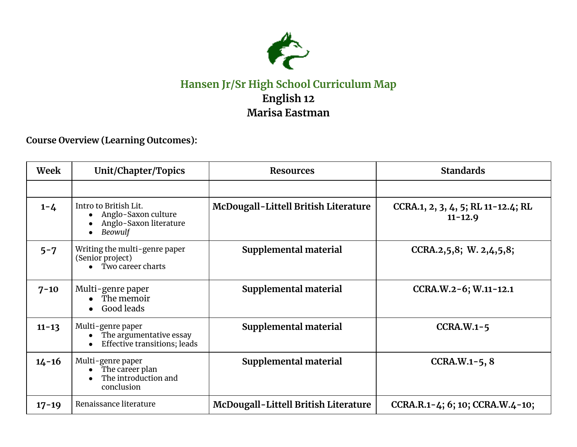

## **Hansen Jr/Sr High School Curriculum Map English 12 Marisa Eastman**

**Course Overview (Learning Outcomes):**

| Week      | Unit/Chapter/Topics                                                                                    | <b>Resources</b>                     | <b>Standards</b>                                  |
|-----------|--------------------------------------------------------------------------------------------------------|--------------------------------------|---------------------------------------------------|
|           |                                                                                                        |                                      |                                                   |
| $1 - 4$   | Intro to British Lit.<br>Anglo-Saxon culture<br>Anglo-Saxon literature<br>Beowulf                      | McDougall-Littell British Literature | CCRA.1, 2, 3, 4, 5; RL 11-12.4; RL<br>$11 - 12.9$ |
| $5 - 7$   | Writing the multi-genre paper<br>(Senior project)<br>Two career charts<br>$\bullet$                    | Supplemental material                | CCRA.2,5,8; W. 2,4,5,8;                           |
| $7 - 10$  | Multi-genre paper<br>The memoir<br>Good leads<br>$\bullet$                                             | Supplemental material                | CCRA.W.2-6; W.11-12.1                             |
| $11 - 13$ | Multi-genre paper<br>The argumentative essay<br>$\bullet$<br>Effective transitions; leads<br>$\bullet$ | Supplemental material                | $CCHA.W.1-5$                                      |
| $14 - 16$ | Multi-genre paper<br>The career plan<br>The introduction and<br>$\bullet$<br>conclusion                | Supplemental material                | $CCHA.W.1-5, 8$                                   |
| $17 - 19$ | Renaissance literature                                                                                 | McDougall-Littell British Literature | CCRA.R.1-4; 6; 10; CCRA.W.4-10;                   |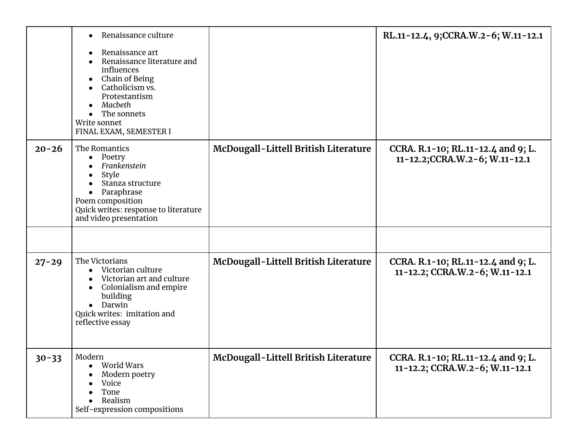|           | Renaissance culture<br>$\bullet$<br>Renaissance art<br>$\bullet$<br>Renaissance literature and<br>influences<br>Chain of Being<br>$\bullet$<br>Catholicism vs.<br>Protestantism<br>Macbeth<br>The sonnets<br>Write sonnet<br>FINAL EXAM, SEMESTER I |                                             | RL.11-12.4, 9;CCRA.W.2-6; W.11-12.1                                  |
|-----------|-----------------------------------------------------------------------------------------------------------------------------------------------------------------------------------------------------------------------------------------------------|---------------------------------------------|----------------------------------------------------------------------|
| $20 - 26$ | The Romantics<br>Poetry<br>$\bullet$<br>Frankenstein<br>Style<br>$\bullet$<br>Stanza structure<br>Paraphrase<br>$\bullet$<br>Poem composition<br>Quick writes: response to literature<br>and video presentation                                     | <b>McDougall-Littell British Literature</b> | CCRA. R.1-10; RL.11-12.4 and 9; L.<br>11-12.2;CCRA.W.2-6; W.11-12.1  |
|           |                                                                                                                                                                                                                                                     |                                             |                                                                      |
| $27 - 29$ | The Victorians<br>Victorian culture<br>$\bullet$<br>Victorian art and culture<br>Colonialism and empire<br>$\bullet$<br>building<br>• Darwin<br>Quick writes: imitation and<br>reflective essay                                                     | <b>McDougall-Littell British Literature</b> | CCRA. R.1-10; RL.11-12.4 and 9; L.<br>11-12.2; CCRA.W.2-6; W.11-12.1 |
| $30 - 33$ | Modern<br>World Wars<br>$\bullet$<br>Modern poetry<br>Voice<br>$\bullet$<br>Tone<br>Realism<br>$\bullet$<br>Self-expression compositions                                                                                                            | McDougall-Littell British Literature        | CCRA. R.1-10; RL.11-12.4 and 9; L.<br>11-12.2; CCRA.W.2-6; W.11-12.1 |